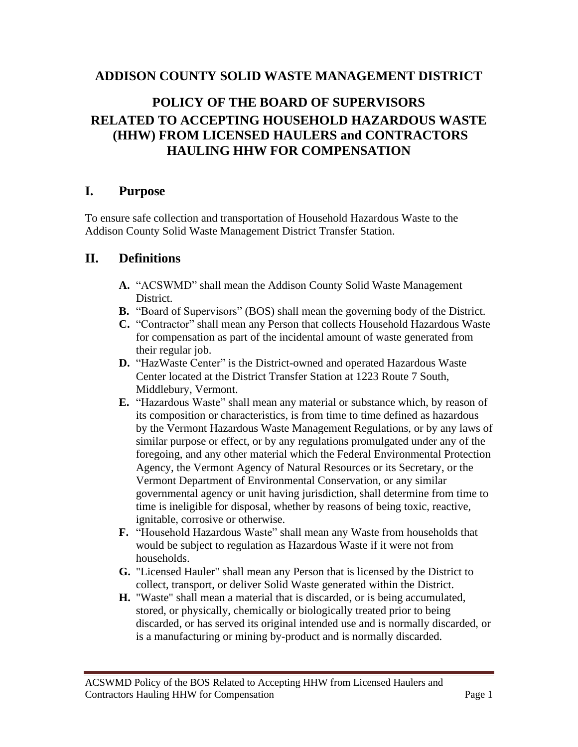### **ADDISON COUNTY SOLID WASTE MANAGEMENT DISTRICT**

# **POLICY OF THE BOARD OF SUPERVISORS RELATED TO ACCEPTING HOUSEHOLD HAZARDOUS WASTE (HHW) FROM LICENSED HAULERS and CONTRACTORS HAULING HHW FOR COMPENSATION**

#### **I. Purpose**

To ensure safe collection and transportation of Household Hazardous Waste to the Addison County Solid Waste Management District Transfer Station.

### **II. Definitions**

- **A.** "ACSWMD" shall mean the Addison County Solid Waste Management District.
- **B.** "Board of Supervisors" (BOS) shall mean the governing body of the District.
- **C.** "Contractor" shall mean any Person that collects Household Hazardous Waste for compensation as part of the incidental amount of waste generated from their regular job.
- **D.** "HazWaste Center" is the District-owned and operated Hazardous Waste Center located at the District Transfer Station at 1223 Route 7 South, Middlebury, Vermont.
- **E.** "Hazardous Waste" shall mean any material or substance which, by reason of its composition or characteristics, is from time to time defined as hazardous by the Vermont Hazardous Waste Management Regulations, or by any laws of similar purpose or effect, or by any regulations promulgated under any of the foregoing, and any other material which the Federal Environmental Protection Agency, the Vermont Agency of Natural Resources or its Secretary, or the Vermont Department of Environmental Conservation, or any similar governmental agency or unit having jurisdiction, shall determine from time to time is ineligible for disposal, whether by reasons of being toxic, reactive, ignitable, corrosive or otherwise.
- **F.** "Household Hazardous Waste" shall mean any Waste from households that would be subject to regulation as Hazardous Waste if it were not from households.
- **G.** "Licensed Hauler" shall mean any Person that is licensed by the District to collect, transport, or deliver Solid Waste generated within the District.
- **H.** "Waste" shall mean a material that is discarded, or is being accumulated, stored, or physically, chemically or biologically treated prior to being discarded, or has served its original intended use and is normally discarded, or is a manufacturing or mining by-product and is normally discarded.